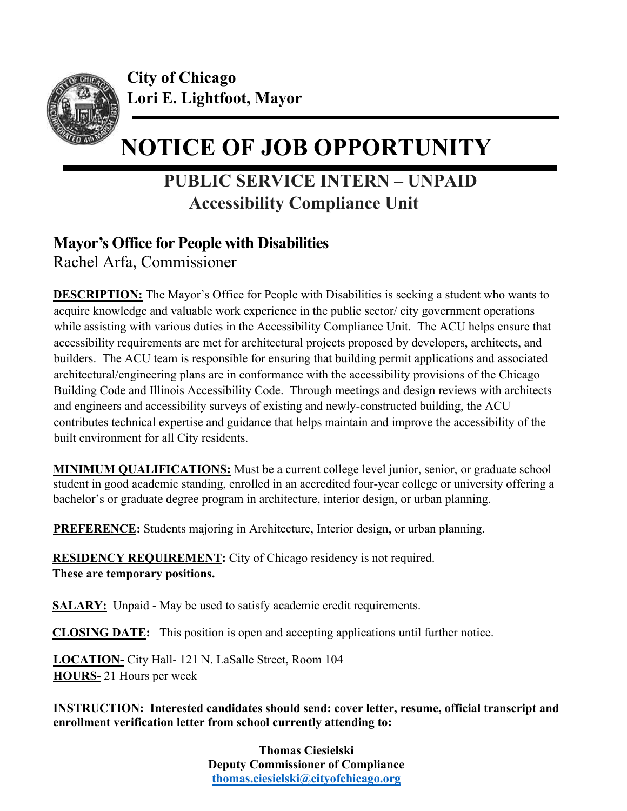

**City of Chicago Lori E. Lightfoot, Mayor** 

# **NOTICE OF JOB OPPORTUNITY**

## **PUBLIC SERVICE INTERN – UNPAID Accessibility Compliance Unit**

### **Mayor's Office for People with Disabilities**

Rachel Arfa, Commissioner

**DESCRIPTION:** The Mayor's Office for People with Disabilities is seeking a student who wants to acquire knowledge and valuable work experience in the public sector/ city government operations while assisting with various duties in the Accessibility Compliance Unit. The ACU helps ensure that accessibility requirements are met for architectural projects proposed by developers, architects, and builders. The ACU team is responsible for ensuring that building permit applications and associated architectural/engineering plans are in conformance with the accessibility provisions of the Chicago Building Code and Illinois Accessibility Code. Through meetings and design reviews with architects and engineers and accessibility surveys of existing and newly-constructed building, the ACU contributes technical expertise and guidance that helps maintain and improve the accessibility of the built environment for all City residents.

**MINIMUM QUALIFICATIONS:** Must be a current college level junior, senior, or graduate school student in good academic standing, enrolled in an accredited four-year college or university offering a bachelor's or graduate degree program in architecture, interior design, or urban planning.

**PREFERENCE:** Students majoring in Architecture, Interior design, or urban planning.

**RESIDENCY REQUIREMENT:** City of Chicago residency is not required. **These are temporary positions.**

**SALARY:** Unpaid - May be used to satisfy academic credit requirements.

**CLOSING DATE:** This position is open and accepting applications until further notice.

**LOCATION-** City Hall- 121 N. LaSalle Street, Room 104 **HOURS-** 21 Hours per week

**INSTRUCTION: Interested candidates should send: cover letter, resume, official transcript and enrollment verification letter from school currently attending to:** 

> **Thomas Ciesielski Deputy Commissioner of Compliance thomas.ciesielski@cityofchicago.org**